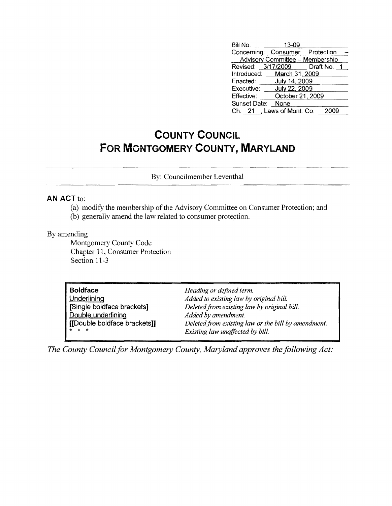| Bill No.                        | 13-09                           |                                |
|---------------------------------|---------------------------------|--------------------------------|
| Concerning: Consumer Protection |                                 |                                |
|                                 | Advisory Committee - Membership |                                |
|                                 |                                 | Revised: 3/17/2009 Draft No. 1 |
| Introduced: March 31, 2009      |                                 |                                |
| Enacted: July 14, 2009          |                                 |                                |
| Executive:                      | July 22, 2009                   |                                |
| Effective:                      | October 21, 2009                |                                |
| Sunset Date: None               |                                 |                                |
| Ch. 21, Laws of Mont. Co.       |                                 | 2009                           |

## **COUNTY COUNCIL FOR MONTGOMERY COUNTY, MARYLAND**

By: Councilmember Leventhal

## **AN** ACT to:

- (a) modifY the membership of the Advisory Committee on Consumer Protection; and
- (b) generally amend the law related to consumer protection.

## By amending

Montgomery County Code Chapter 11, Consumer Protection Section 11-3

| <b>Boldface</b>              | Heading or defined term.                            |
|------------------------------|-----------------------------------------------------|
| Underlining                  | Added to existing law by original bill.             |
| [Single boldface brackets]   | Deleted from existing law by original bill.         |
| Double underlining           | Added by amendment.                                 |
| [[Double boldface brackets]] | Deleted from existing law or the bill by amendment. |
| $\star$ $\star$ $\star$      | Existing law unaffected by bill.                    |

*The County Council for Montgomery County, Maryland approves the following Act:*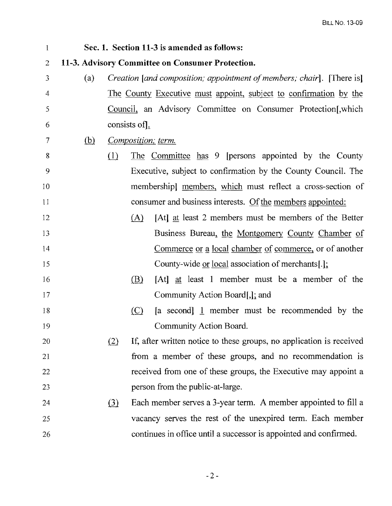| $\mathbf{1}$   |                                                  |          |                         | Sec. 1. Section 11-3 is amended as follows:                           |  |
|----------------|--------------------------------------------------|----------|-------------------------|-----------------------------------------------------------------------|--|
| $\overline{2}$ | 11-3. Advisory Committee on Consumer Protection. |          |                         |                                                                       |  |
| 3              | (a)                                              |          |                         | Creation [and composition; appointment of members; chair]. [There is] |  |
| 4              |                                                  |          |                         | The County Executive must appoint, subject to confirmation by the     |  |
| 5              |                                                  |          |                         | Council, an Advisory Committee on Consumer Protection [, which        |  |
| 6              |                                                  |          | consists of $\lfloor$ . |                                                                       |  |
| $\tau$         | <u>(b)</u>                                       |          |                         | Composition; term.                                                    |  |
| 8              |                                                  | (1)      |                         | The Committee has 9 [persons appointed by the County                  |  |
| 9              |                                                  |          |                         | Executive, subject to confirmation by the County Council. The         |  |
| 10             |                                                  |          |                         | membershipl members, which must reflect a cross-section of            |  |
| 11             |                                                  |          |                         | consumer and business interests. Of the members appointed:            |  |
| 12             |                                                  |          | (A)                     | [At] at least 2 members must be members of the Better                 |  |
| 13             |                                                  |          |                         | Business Bureau, the Montgomery County Chamber of                     |  |
| 14             |                                                  |          |                         | Commerce or a local chamber of commerce, or of another                |  |
| 15             |                                                  |          |                         | County-wide or local association of merchants[.];                     |  |
| 16             |                                                  |          | (B)                     | [At] at least 1 member must be a member of the                        |  |
| 17             |                                                  |          |                         | Community Action Board, 1; and                                        |  |
| 18             |                                                  |          | (C)                     | $[a \text{ second}]$ member must be recommended by the                |  |
| 19             |                                                  |          |                         | Community Action Board.                                               |  |
| 20             |                                                  | (2)      |                         | If, after written notice to these groups, no application is received  |  |
| 21             |                                                  |          |                         | from a member of these groups, and no recommendation is               |  |
| 22             |                                                  |          |                         | received from one of these groups, the Executive may appoint a        |  |
| 23             |                                                  |          |                         | person from the public-at-large.                                      |  |
| 24             |                                                  | $\Omega$ |                         | Each member serves a 3-year term. A member appointed to fill a        |  |
| 25             |                                                  |          |                         | vacancy serves the rest of the unexpired term. Each member            |  |
| 26             |                                                  |          |                         | continues in office until a successor is appointed and confirmed.     |  |

 $-2-$